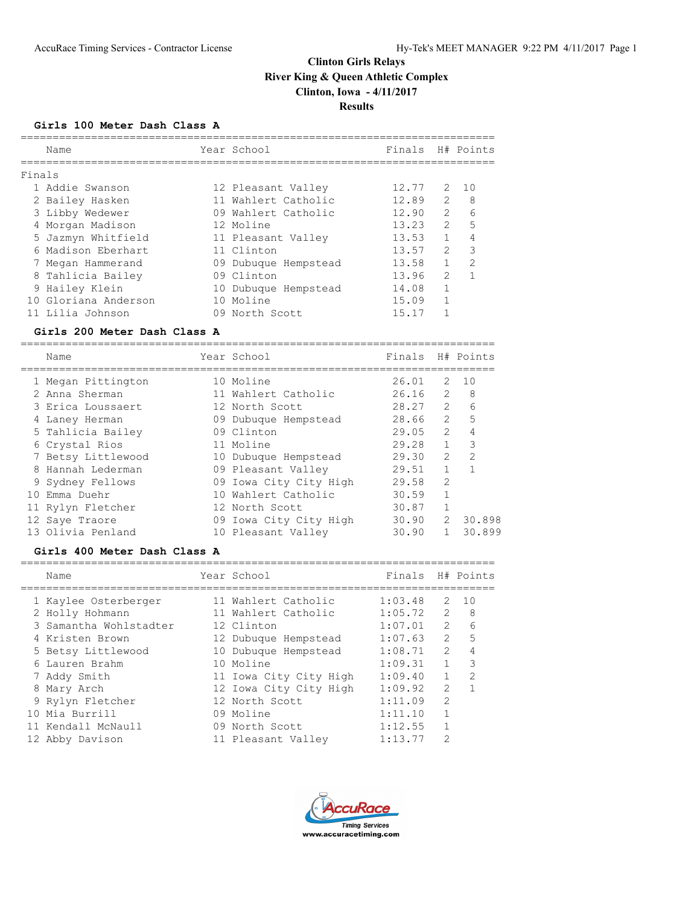## **Girls 100 Meter Dash Class A**

|        | Name                 | Year School          | Finals |               | H# Points     |
|--------|----------------------|----------------------|--------|---------------|---------------|
| Finals |                      |                      |        |               |               |
|        | 1 Addie Swanson      | 12 Pleasant Valley   | 12.77  | 2             | - 1 O         |
|        | 2 Bailey Hasken      | 11 Wahlert Catholic  | 12.89  | $\mathcal{L}$ | 8             |
|        | 3 Libby Wedewer      | 09 Wahlert Catholic  | 12.90  | $\mathcal{L}$ | 6             |
|        | 4 Morgan Madison     | 12 Moline            | 13.23  | $\mathcal{L}$ | 5             |
|        | 5 Jazmyn Whitfield   | 11 Pleasant Valley   | 13.53  | $\mathbf{1}$  | 4             |
|        | 6 Madison Eberhart   | 11 Clinton           | 13.57  | $\mathcal{L}$ | 3             |
|        | 7 Megan Hammerand    | 09 Dubuque Hempstead | 13.58  |               | $\mathcal{D}$ |
|        | 8 Tahlicia Bailey    | 09 Clinton           | 13.96  | $\mathcal{L}$ |               |
|        | 9 Hailey Klein       | 10 Dubuque Hempstead | 14.08  |               |               |
|        | 10 Gloriana Anderson | 10 Moline            | 15.09  |               |               |
|        | 11 Lilia Johnson     | 09 North Scott       | 15.17  |               |               |
|        |                      |                      |        |               |               |

### **Girls 200 Meter Dash Class A**

| Name               | Year School            | Finals H# Points |                |                |
|--------------------|------------------------|------------------|----------------|----------------|
| 1 Megan Pittington | 10 Moline              | 26.01            |                | $2 \quad 10$   |
| 2 Anna Sherman     | 11 Wahlert Catholic    | 26.16            | $\mathcal{L}$  | 8              |
| 3 Erica Loussaert  | 12 North Scott         | 28.27            | $\mathcal{L}$  | 6              |
| 4 Laney Herman     | 09 Dubuque Hempstead   | 28.66            | $\overline{2}$ | 5              |
| 5 Tahlicia Bailey  | 09 Clinton             | 29.05            | $\overline{2}$ | $\overline{4}$ |
| 6 Crystal Rios     | 11 Moline              | 29.28            | $\mathbf{1}$   | 3              |
| 7 Betsy Littlewood | 10 Dubuque Hempstead   | 29.30            | $\mathfrak{L}$ | $\mathfrak{D}$ |
| 8 Hannah Lederman  | 09 Pleasant Valley     | 29.51            | $\mathbf 1$    | $\mathbf{1}$   |
| 9 Sydney Fellows   | 09 Iowa City City High | 29.58            | $\overline{2}$ |                |
| 10 Emma Duehr      | 10 Wahlert Catholic    | 30.59            | $\mathbf{1}$   |                |
| 11 Rylyn Fletcher  | 12 North Scott         | 30.87            | $\mathbf{1}$   |                |
| 12 Saye Traore     | 09 Iowa City City High | 30.90            | 2              | 30.898         |
| 13 Olivia Penland  | 10 Pleasant Valley     | 30.90            |                | 30.899         |

## **Girls 400 Meter Dash Class A**

| Name                   | Year School            | Finals  |               | H# Points     |
|------------------------|------------------------|---------|---------------|---------------|
| 1 Kaylee Osterberger   | 11 Wahlert Catholic    | 1:03.48 | 2             | 10            |
| 2 Holly Hohmann        | 11 Wahlert Catholic    | 1:05.72 | $\mathcal{L}$ | 8             |
| 3 Samantha Wohlstadter | 12 Clinton             | 1:07.01 | $\mathcal{L}$ | 6             |
| 4 Kristen Brown        | 12 Dubuque Hempstead   | 1:07.63 | $\mathcal{L}$ | 5             |
| 5 Betsy Littlewood     | 10 Dubuque Hempstead   | 1:08.71 | $\mathcal{P}$ |               |
| 6 Lauren Brahm         | 10 Moline              | 1:09.31 | $\mathbf{1}$  | 3             |
| 7 Addy Smith           | 11 Iowa City City High | 1:09.40 | $\mathbf{1}$  | $\mathcal{L}$ |
| 8 Mary Arch            | 12 Iowa City City High | 1:09.92 | $\mathcal{L}$ |               |
| 9 Rylyn Fletcher       | 12 North Scott         | 1:11.09 | $\mathcal{L}$ |               |
| 10 Mia Burrill         | 09 Moline              | 1:11.10 |               |               |
| 11 Kendall McNaull     | 09 North Scott         | 1:12.55 |               |               |
| 12 Abby Davison        | 11 Pleasant Valley     | 1:13.77 | っ             |               |

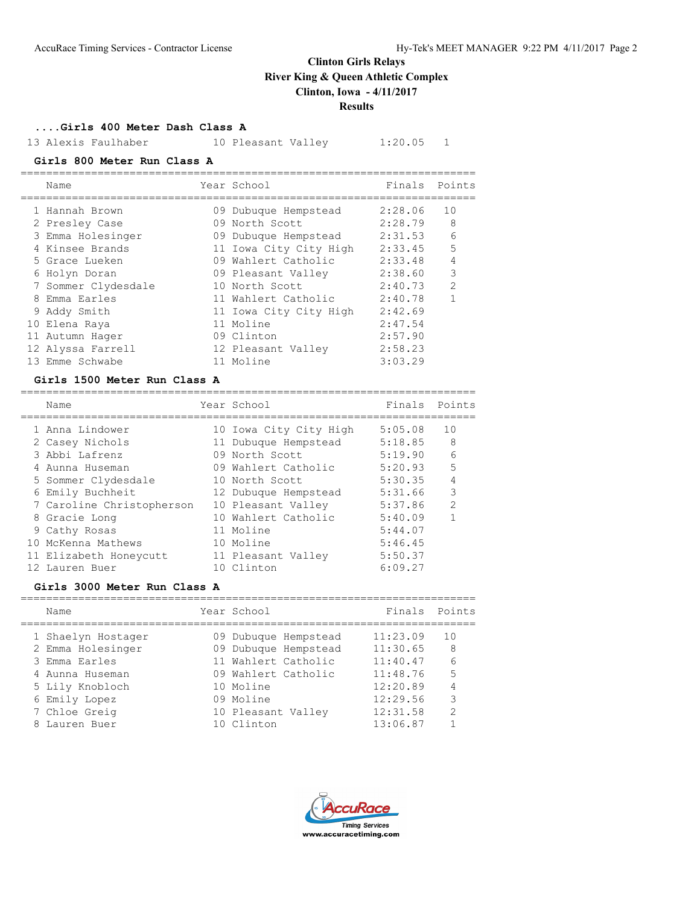## **....Girls 400 Meter Dash Class A**

13 Alexis Faulhaber 10 Pleasant Valley 1:20.05 1

## **Girls 800 Meter Run Class A**

|   | Name                | Year School            | Finals Points |                |
|---|---------------------|------------------------|---------------|----------------|
|   | 1 Hannah Brown      | 09 Dubuque Hempstead   | 2:28.06       | 10             |
|   | 2 Presley Case      | 09 North Scott         | 2:28.79       | 8              |
|   | 3 Emma Holesinger   | 09 Dubuque Hempstead   | 2:31.53       | 6              |
|   | 4 Kinsee Brands     | 11 Iowa City City High | 2:33.45       | 5              |
|   | 5 Grace Lueken      | 09 Wahlert Catholic    | 2:33.48       | 4              |
|   | 6 Holyn Doran       | 09 Pleasant Valley     | 2:38.60       | 3              |
|   | 7 Sommer Clydesdale | 10 North Scott         | 2:40.73       | $\overline{2}$ |
| 8 | Emma Earles         | 11 Wahlert Catholic    | 2:40.78       | 1              |
|   | 9 Addy Smith        | 11 Iowa City City High | 2:42.69       |                |
|   | 10 Elena Raya       | 11 Moline              | 2:47.54       |                |
|   | 11 Autumn Hager     | 09 Clinton             | 2:57.90       |                |
|   | 12 Alyssa Farrell   | 12 Pleasant Valley     | 2:58.23       |                |
|   | 13 Emme Schwabe     | 11 Moline              | 3:03.29       |                |
|   |                     |                        |               |                |

### **Girls 1500 Meter Run Class A**

| Name                      | Year School            | Finals  | Points         |
|---------------------------|------------------------|---------|----------------|
| 1 Anna Lindower           | 10 Iowa City City High | 5:05.08 | 10             |
| 2 Casey Nichols           | 11 Dubuque Hempstead   | 5:18.85 | 8              |
| 3 Abbi Lafrenz            | 09 North Scott         | 5:19.90 | 6              |
| 4 Aunna Huseman           | 09 Wahlert Catholic    | 5:20.93 | 5              |
| 5 Sommer Clydesdale       | 10 North Scott         | 5:30.35 | $\overline{4}$ |
| 6 Emily Buchheit          | 12 Dubuque Hempstead   | 5:31.66 | 3              |
| 7 Caroline Christopherson | 10 Pleasant Valley     | 5:37.86 | $\mathcal{L}$  |
| 8 Gracie Long             | 10 Wahlert Catholic    | 5:40.09 | 1              |
| 9 Cathy Rosas             | 11 Moline              | 5:44.07 |                |
| 10 McKenna Mathews        | 10 Moline              | 5:46.45 |                |
| 11 Elizabeth Honeycutt    | 11 Pleasant Valley     | 5:50.37 |                |
| 12 Lauren Buer            | 10 Clinton             | 6:09.27 |                |

## **Girls 3000 Meter Run Class A**

| Name               | Year School          | Finals   | Points        |
|--------------------|----------------------|----------|---------------|
| 1 Shaelyn Hostager | 09 Dubuque Hempstead | 11:23.09 | 1 O           |
| 2 Emma Holesinger  | 09 Dubuque Hempstead | 11:30.65 | 8             |
| 3 Emma Earles      | 11 Wahlert Catholic  | 11:40.47 | 6             |
| 4 Aunna Huseman    | 09 Wahlert Catholic  | 11:48.76 | 5             |
| 5 Lily Knobloch    | 10 Moline            | 12:20.89 | 4             |
| 6 Emily Lopez      | 09 Moline            | 12:29.56 | 3             |
| 7 Chloe Greig      | 10 Pleasant Valley   | 12:31.58 | $\mathcal{L}$ |
| Lauren Buer        | 10 Clinton           | 13:06.87 |               |
|                    |                      |          |               |

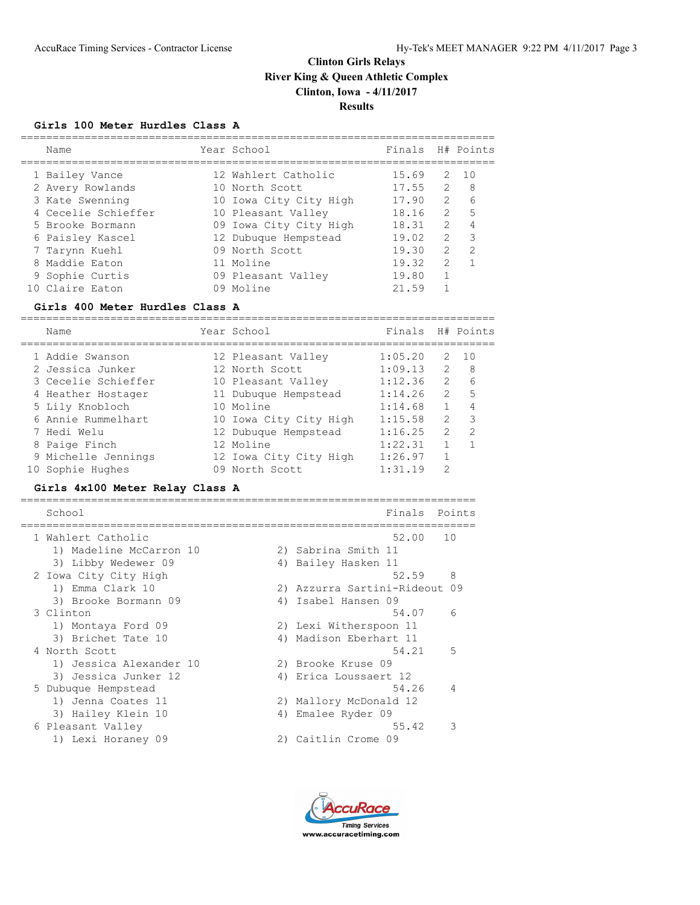## **Girls 100 Meter Hurdles Class A**

| Name                | Year School            | Finals |                      | H# Points     |
|---------------------|------------------------|--------|----------------------|---------------|
| 1 Bailey Vance      | 12 Wahlert Catholic    | 15.69  | $\mathcal{P} \equiv$ | $\sqrt{10}$   |
| 2 Avery Rowlands    | 10 North Scott         | 17.55  | $\mathcal{L}$        | 8             |
| 3 Kate Swenning     | 10 Iowa City City High | 17.90  | $\mathcal{L}$        | 6             |
| 4 Cecelie Schieffer | 10 Pleasant Valley     | 18.16  | $\mathcal{L}$        | 5             |
| 5 Brooke Bormann    | 09 Iowa City City High | 18.31  | $\mathcal{L}$        | 4             |
| 6 Paisley Kascel    | 12 Dubuque Hempstead   | 19.02  | $\mathcal{L}$        | 3             |
| 7 Tarynn Kuehl      | 09 North Scott         | 19.30  | $\mathcal{P}$        | $\mathcal{P}$ |
| 8 Maddie Eaton      | 11 Moline              | 19.32  | $\mathcal{P}$        |               |
| 9 Sophie Curtis     | 09 Pleasant Valley     | 19.80  |                      |               |
| 10 Claire Eaton     | 09 Moline              | 21.59  |                      |               |
|                     |                        |        |                      |               |

### **Girls 400 Meter Hurdles Class A**

| Name                |  | Finals                                                                                                                                                                                                                    |               | H# Points     |
|---------------------|--|---------------------------------------------------------------------------------------------------------------------------------------------------------------------------------------------------------------------------|---------------|---------------|
| 1 Addie Swanson     |  | 1:05.20                                                                                                                                                                                                                   | 2             | 10            |
| 2 Jessica Junker    |  | 1:09.13                                                                                                                                                                                                                   | $\mathcal{L}$ | 8             |
| 3 Cecelie Schieffer |  | 1:12.36                                                                                                                                                                                                                   | $\mathcal{L}$ | 6             |
| 4 Heather Hostager  |  | 1:14.26                                                                                                                                                                                                                   | $\mathcal{L}$ | 5             |
| 5 Lily Knobloch     |  | 1:14.68                                                                                                                                                                                                                   | 1.            |               |
| 6 Annie Rummelhart  |  | 1:15.58                                                                                                                                                                                                                   | $\mathcal{L}$ | 3             |
| 7 Hedi Welu         |  | 1:16.25                                                                                                                                                                                                                   | $\mathcal{L}$ | $\mathcal{P}$ |
| 8 Paige Finch       |  | 1:22.31                                                                                                                                                                                                                   |               |               |
| 9 Michelle Jennings |  | 1:26.97                                                                                                                                                                                                                   |               |               |
| 10 Sophie Hughes    |  | 1:31.19                                                                                                                                                                                                                   | 2             |               |
|                     |  | Year School<br>12 Pleasant Valley<br>12 North Scott<br>10 Pleasant Valley<br>11 Dubuque Hempstead<br>10 Moline<br>10 Iowa City City High<br>12 Dubuque Hempstead<br>12 Moline<br>12 Iowa City City High<br>09 North Scott |               |               |

## **Girls 4x100 Meter Relay Class A**

| School                  |    | Finals                        | Points          |
|-------------------------|----|-------------------------------|-----------------|
| 1 Wahlert Catholic      |    | 52.00                         | 10              |
| 1) Madeline McCarron 10 |    | 2) Sabrina Smith 11           |                 |
| 3) Libby Wedewer 09     |    | 4) Bailey Hasken 11           |                 |
| 2 Iowa City City High   |    | 52.59                         | 8               |
| 1) Emma Clark 10        |    | 2) Azzurra Sartini-Rideout 09 |                 |
| 3) Brooke Bormann 09    |    | 4) Isabel Hansen 09           |                 |
| 3 Clinton               |    | 54.07                         | $6\overline{6}$ |
| 1) Montaya Ford 09      |    | 2) Lexi Witherspoon 11        |                 |
| 3) Brichet Tate 10      |    | 4) Madison Eberhart 11        |                 |
| 4 North Scott           |    | 54.21                         | 5               |
| 1) Jessica Alexander 10 |    | 2) Brooke Kruse 09            |                 |
| 3) Jessica Junker 12    |    | 4) Erica Loussaert 12         |                 |
| 5 Dubuque Hempstead     |    | 54.26                         | $\overline{4}$  |
| 1) Jenna Coates 11      |    | 2) Mallory McDonald 12        |                 |
| 3) Hailey Klein 10      | 4) | Emalee Ryder 09               |                 |
| 6 Pleasant Valley       |    | 55.42                         | 3               |
| 1) Lexi Horaney 09      |    | 2) Caitlin Crome 09           |                 |

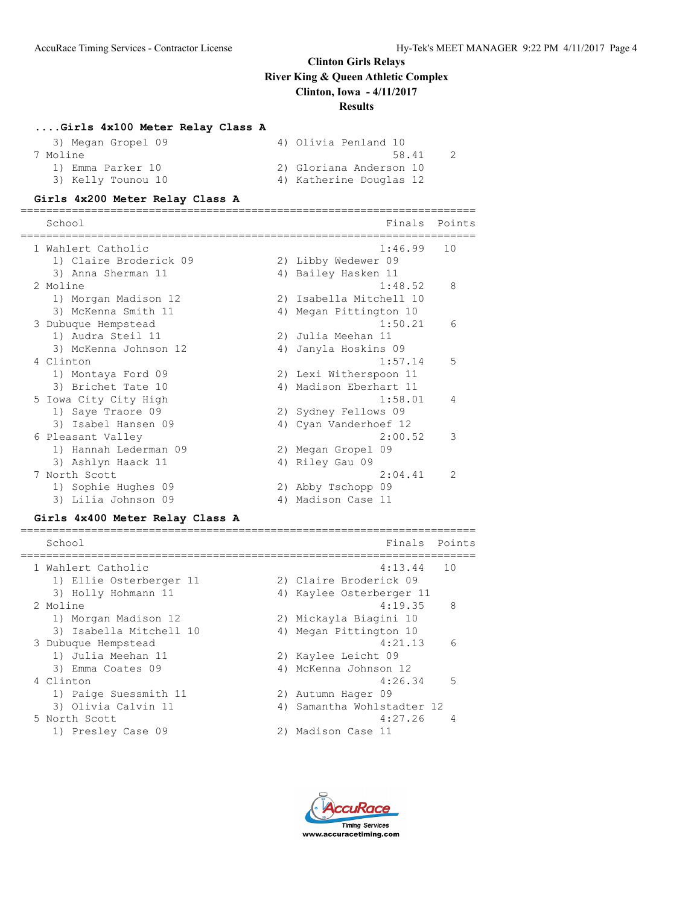### **....Girls 4x100 Meter Relay Class A**

| 3) Megan Gropel 09 | 4) Olivia Penland 10    |
|--------------------|-------------------------|
| 7 Moline           | 58.41                   |
| 1) Emma Parker 10  | 2) Gloriana Anderson 10 |
| 3) Kelly Tounou 10 | 4) Katherine Douglas 12 |

#### **Girls 4x200 Meter Relay Class A**

======================================================================= School **Finals** Points ======================================================================= 1 Wahlert Catholic 1:46.99 10 1) Claire Broderick 09 2) Libby Wedewer 09 3) Anna Sherman 11  $\hskip1cm$  4) Bailey Hasken 11 2 Moline 1:48.52 8 1) Morgan Madison 12 2) Isabella Mitchell 10 3) McKenna Smith 11 4) Megan Pittington 10 3 Dubuque Hempstead 1:50.21 6 1) Audra Steil 11 2) Julia Meehan 11 3) McKenna Johnson 12 4) Janyla Hoskins 09 4 Clinton 1:57.14 5 1) Montaya Ford 09 2) Lexi Witherspoon 11 3) Brichet Tate 10 4) Madison Eberhart 11 5 Iowa City City High 1:58.01 4 1) Saye Traore 09 2) Sydney Fellows 09 3) Isabel Hansen 09 4) Cyan Vanderhoef 12 6 Pleasant Valley 2:00.52 3 1) Hannah Lederman 09 2) Megan Gropel 09 3) Ashlyn Haack 11 4) Riley Gau 09 7 North Scott 2:04.41 2 1) Sophie Hughes 09 2) Abby Tschopp 09 3) Lilia Johnson 09 4) Madison Case 11

### **Girls 4x400 Meter Relay Class A**

| School                  | Finals                     | Points         |
|-------------------------|----------------------------|----------------|
| 1 Wahlert Catholic      | $4:13.44$ 10               |                |
| 1) Ellie Osterberger 11 | 2) Claire Broderick 09     |                |
| 3) Holly Hohmann 11     | 4) Kaylee Osterberger 11   |                |
| 2 Moline                | 4:19.35                    | - 8            |
| 1) Morgan Madison 12    | 2) Mickayla Biagini 10     |                |
| 3) Isabella Mitchell 10 | 4) Megan Pittington 10     |                |
| 3 Dubuque Hempstead     | 4:21.13                    | $\sqrt{2}$     |
| 1) Julia Meehan 11      | 2) Kaylee Leicht 09        |                |
| 3) Emma Coates 09       | 4) McKenna Johnson 12      |                |
| 4 Clinton               | 4:26.34                    | - 5            |
| 1) Paige Suessmith 11   | 2) Autumn Hager 09         |                |
| 3) Olivia Calvin 11     | 4) Samantha Wohlstadter 12 |                |
| 5 North Scott           | 4:27.26                    | $\overline{4}$ |
| 1) Presley Case 09      | 2) Madison Case 11         |                |
|                         |                            |                |

=======================================================================

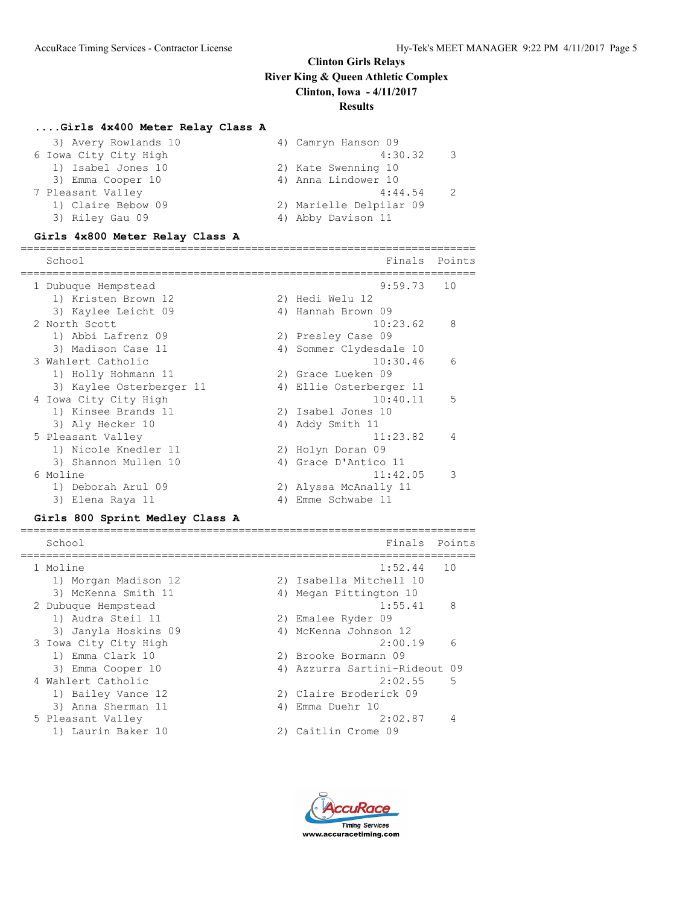#### **....Girls 4x400 Meter Relay Class A**

| 3) Avery Rowlands 10  | 4) Camryn Hanson 09     |
|-----------------------|-------------------------|
| 6 Iowa City City High | 4:30.32<br>- 3          |
| 1) Isabel Jones 10    | 2) Kate Swenning 10     |
| 3) Emma Cooper 10     | 4) Anna Lindower 10     |
| 7 Pleasant Valley     | 4:44.54                 |
| 1) Claire Bebow 09    | 2) Marielle Delpilar 09 |
| 3) Riley Gau 09       | 4) Abby Davison 11      |
|                       |                         |

#### **Girls 4x800 Meter Relay Class A**

======================================================================= School **Finals** Points ======================================================================= 1 Dubuque Hempstead 9:59.73 10 1) Kristen Brown 12 2) Hedi Welu 12 3) Kaylee Leicht 09 4) Hannah Brown 09 2 North Scott 10:23.62 8 1) Abbi Lafrenz 09 2) Presley Case 09 3) Madison Case 11 4) Sommer Clydesdale 10 3 Wahlert Catholic 10:30.46 6 1) Holly Hohmann 11 2) Grace Lueken 09 3) Kaylee Osterberger 11 4) Ellie Osterberger 11 4 Iowa City City High 10:40.11 5 1) Kinsee Brands 11 2) Isabel Jones 10 1) Kinsee Brands 11 (2) Isabel Jones 10<br>3) Aly Hecker 10 (4) Addy Smith 11<br>11.22 5 Pleasant Valley 11:23.82 4 1) Nicole Knedler 11 2) Holyn Doran 09 3) Shannon Mullen 10 (4) Grace D'Antico 11 6 Moline 11:42.05 3 1) Deborah Arul 09 2) Alyssa McAnally 11 3) Elena Raya 11 4) Emme Schwabe 11

#### **Girls 800 Sprint Medley Class A**

======================================================================= School **Finals** Points ======================================================================= 1 Moline 1:52.44 10 1) Morgan Madison 12 2) Isabella Mitchell 10 3) McKenna Smith 11 4) Megan Pittington 10 2 Dubuque Hempstead 1:55.41 8 1) Audra Steil 11 2) Emalee Ryder 09 3) Janyla Hoskins 09 4) McKenna Johnson 12 3 Iowa City City High 2:00.19 6 1) Emma Clark 10 2) Brooke Bormann 09 3) Emma Cooper 10 4) Azzurra Sartini-Rideout 09 4 Wahlert Catholic 2:02.55 5 1) Bailey Vance 12 2) Claire Broderick 09 3) Anna Sherman 11 1988 - 40 Emma Duehr 10 5 Pleasant Valley 2:02.87 4 1) Laurin Baker 10 2) Caitlin Crome 09

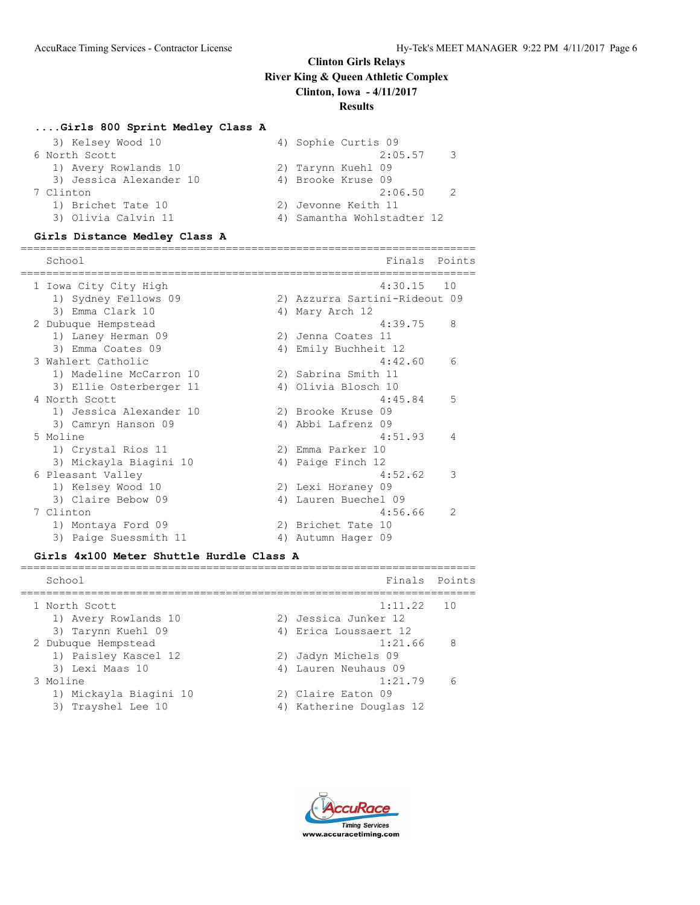#### **....Girls 800 Sprint Medley Class A**

| 4) Sophie Curtis 09        |
|----------------------------|
| 2:05.57<br>- 3             |
| 2) Tarynn Kuehl 09         |
| 4) Brooke Kruse 09         |
| 2:06.50                    |
| 2) Jevonne Keith 11        |
| 4) Samantha Wohlstadter 12 |
|                            |

#### **Girls Distance Medley Class A**

======================================================================= School **Finals** Points ======================================================================= 1 Iowa City City High 4:30.15 10 1) Sydney Fellows 09 2) Azzurra Sartini-Rideout 09 3) Emma Clark 10 4) Mary Arch 12 2 Dubuque Hempstead 4:39.75 8 1) Laney Herman 09 2) Jenna Coates 11 3) Emma Coates 09 6 4) Emily Buchheit 12 3 Wahlert Catholic 4:42.60 6 1) Madeline McCarron 10 2) Sabrina Smith 11 3) Ellie Osterberger 11 <a>
4) Olivia Blosch 10 4 North Scott 3 and 3 and 4:45.84 5 1) Jessica Alexander 10 2) Brooke Kruse 09 3) Camryn Hanson 09 4) Abbi Lafrenz 09 5 Moline 4:51.93 4 1) Crystal Rios 11 2) Emma Parker 10 3) Mickayla Biagini 10  $\hskip1cm$  4) Paige Finch 12 6 Pleasant Valley 4:52.62 3 1) Kelsey Wood 10 2) Lexi Horaney 09 3) Claire Bebow 09 (4) Lauren Buechel 09 7 Clinton 4:56.66 2 1) Montaya Ford 09 2) Brichet Tate 10 3) Paige Suessmith 11 (4) Autumn Hager 09

#### **Girls 4x100 Meter Shuttle Hurdle Class A**

| School                                          | Finals Points                                 |     |
|-------------------------------------------------|-----------------------------------------------|-----|
| 1 North Scott                                   | $1:11.22$ 10<br>2) Jessica Junker 12          |     |
| 1) Avery Rowlands 10<br>3) Tarynn Kuehl 09      | 4) Erica Loussaert 12                         |     |
| 2 Dubuque Hempstead<br>1) Paisley Kascel 12     | 1:21.66<br>2) Jadyn Michels 09                | - 8 |
| 3) Lexi Maas 10<br>3 Moline                     | 4) Lauren Neuhaus 09<br>1:21.79               | 6   |
| 1) Mickayla Biagini 10<br>Trayshel Lee 10<br>3) | 2) Claire Eaton 09<br>4) Katherine Douglas 12 |     |

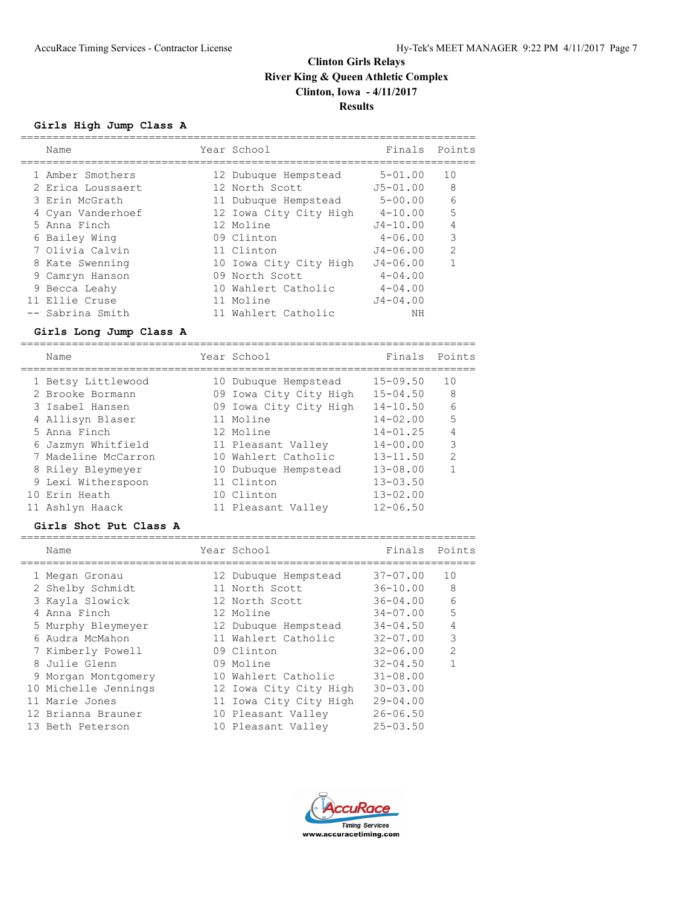**Girls High Jump Class A**

| Name              | Year School            | Finals       | Points         |
|-------------------|------------------------|--------------|----------------|
| 1 Amber Smothers  | 12 Dubuque Hempstead   | $5 - 01.00$  | 10             |
| 2 Erica Loussaert | 12 North Scott         | $J5 - 01.00$ | 8              |
| 3 Erin McGrath    | 11 Dubuque Hempstead   | $5 - 00.00$  | 6              |
| 4 Cyan Vanderhoef | 12 Iowa City City High | $4 - 10.00$  | 5              |
| 5 Anna Finch      | 12 Moline              | $J4 - 10.00$ | 4              |
| 6 Bailey Wing     | 09 Clinton             | $4 - 06.00$  | 3              |
| 7 Olivia Calvin   | 11 Clinton             | $J4 - 06.00$ | $\mathfrak{D}$ |
| 8 Kate Swenning   | 10 Iowa City City High | $J4 - 06.00$ | 1              |
| 9 Camryn Hanson   | 09 North Scott         | $4 - 04.00$  |                |
| 9 Becca Leahy     | 10 Wahlert Catholic    | $4 - 04.00$  |                |
| 11 Ellie Cruse    | 11 Moline              | $J4 - 04.00$ |                |
| -- Sabrina Smith  | 11 Wahlert Catholic    | NΗ           |                |

### **Girls Long Jump Class A**

======================================================================= Name Year School Finals Points ======================================================================= 1 Betsy Littlewood 10 Dubuque Hempstead 15-09.50 10 2 Brooke Bormann 09 Iowa City City High 15-04.50 8 3 Isabel Hansen 09 Iowa City City High 14-10.50 6 4 Allisyn Blaser 11 Moline 14-02.00 5 5 Anna Finch 12 Moline 14-01.25 4 6 Jazmyn Whitfield 11 Pleasant Valley 14-00.00 3 7 Madeline McCarron 10 Wahlert Catholic 13-11.50 2 8 Riley Bleymeyer 10 Dubuque Hempstead 13-08.00 1 9 Lexi Witherspoon 11 Clinton 13-03.50 10 Erin Heath 10 Clinton 13-02.00 11 Ashlyn Haack 11 Pleasant Valley 12-06.50

#### **Girls Shot Put Class A**

| Name                 | Year School            | Finals Points |                |
|----------------------|------------------------|---------------|----------------|
| 1 Megan Gronau       | 12 Dubuque Hempstead   | $37 - 07.00$  | 10             |
| 2 Shelby Schmidt     | 11 North Scott         | $36 - 10.00$  | 8              |
| 3 Kayla Slowick      | 12 North Scott         | $36 - 04.00$  | 6              |
| 4 Anna Finch         | 12 Moline              | $34 - 07.00$  | 5              |
| 5 Murphy Bleymeyer   | 12 Dubuque Hempstead   | $34 - 04.50$  | $\overline{4}$ |
| 6 Audra McMahon      | 11 Wahlert Catholic    | $32 - 07.00$  | 3              |
| 7 Kimberly Powell    | 09 Clinton             | $32 - 06.00$  | $\mathcal{P}$  |
| 8 Julie Glenn        | 09 Moline              | $32 - 04.50$  |                |
| 9 Morgan Montgomery  | 10 Wahlert Catholic    | $31 - 08.00$  |                |
| 10 Michelle Jennings | 12 Iowa City City High | $30 - 03.00$  |                |
| 11 Marie Jones       | 11 Iowa City City High | $29 - 04.00$  |                |
| 12 Brianna Brauner   | 10 Pleasant Valley     | $26 - 06.50$  |                |
| 13 Beth Peterson     | 10 Pleasant Valley     | $25 - 03.50$  |                |



=======================================================================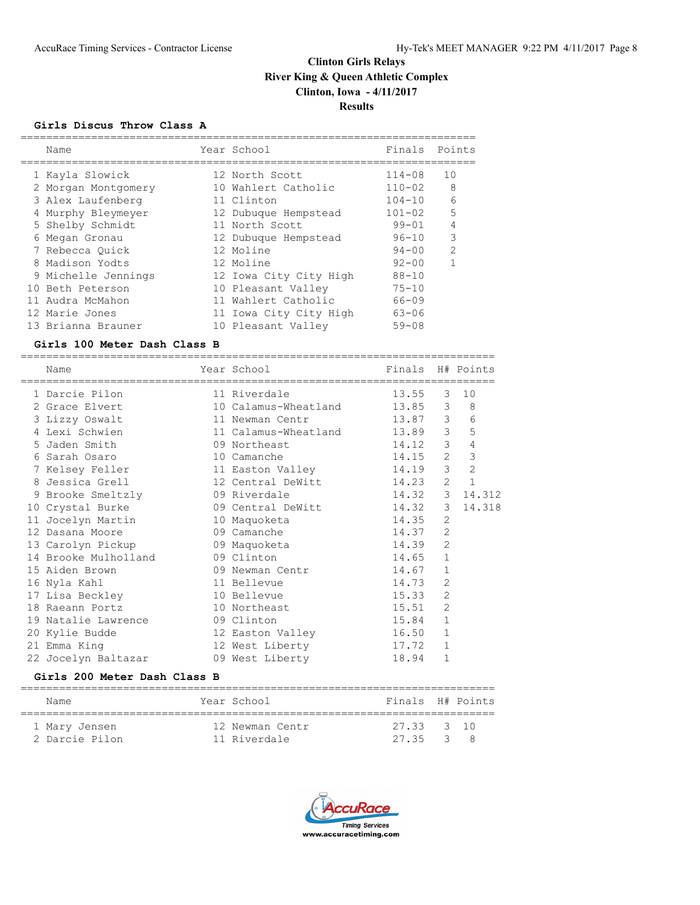## **Girls Discus Throw Class A**

| Name                | Year School            | Finals Points |                |
|---------------------|------------------------|---------------|----------------|
| 1 Kayla Slowick     | 12 North Scott         | $114 - 08$    | 10             |
| 2 Morgan Montgomery | 10 Wahlert Catholic    | $110 - 02$    | 8              |
| 3 Alex Laufenberg   | 11 Clinton             | $104 - 10$    | 6              |
| 4 Murphy Bleymeyer  | 12 Dubuque Hempstead   | $101 - 02$    | 5              |
| 5 Shelby Schmidt    | 11 North Scott         | $99 - 01$     | 4              |
| 6 Megan Gronau      | 12 Dubuque Hempstead   | $96 - 10$     | 3              |
| 7 Rebecca Ouick     | 12 Moline              | $94 - 00$     | $\overline{2}$ |
| 8 Madison Yodts     | 12 Moline              | $92 - 00$     | 1              |
| 9 Michelle Jennings | 12 Iowa City City High | $88 - 10$     |                |
| 10 Beth Peterson    | 10 Pleasant Valley     | $75 - 10$     |                |
| 11 Audra McMahon    | 11 Wahlert Catholic    | $66 - 09$     |                |
| 12 Marie Jones      | 11 Iowa City City High | $63 - 06$     |                |
| 13 Brianna Brauner  | 10 Pleasant Valley     | $59 - 08$     |                |

#### **Girls 100 Meter Dash Class B**

| Name                 | Year School                | Finals |                | H# Points        |
|----------------------|----------------------------|--------|----------------|------------------|
| 1 Darcie Pilon       | 11 Riverdale               | 13.55  | $\mathcal{E}$  | 10               |
| 2 Grace Elvert       | 10 Calamus-Wheatland 13.85 |        |                | $3^{\circ}$<br>8 |
| 3 Lizzy Oswalt       | 11 Newman Centr            | 13.87  | 3 <sup>7</sup> | $\epsilon$       |
| 4 Lexi Schwien       | 11 Calamus-Wheatland 13.89 |        | 3 <sup>7</sup> | 5                |
| 5 Jaden Smith        | 09 Northeast               | 14.12  | 3 <sup>7</sup> | $\sqrt{4}$       |
| 6 Sarah Osaro        | 10 Camanche                | 14.15  | $2^{\circ}$    | $\mathsf 3$      |
| 7 Kelsey Feller      | 11 Easton Valley           | 14.19  | 3 <sup>7</sup> | $\overline{c}$   |
| 8 Jessica Grell      | 12 Central DeWitt          | 14.23  | $\mathbf{2}$   | $\mathbf{1}$     |
| 9 Brooke Smeltzly    | 09 Riverdale               | 14.32  |                | 3 14.312         |
| 10 Crystal Burke     | 09 Central DeWitt          | 14.32  | 3 <sup>7</sup> | 14.318           |
| 11 Jocelyn Martin    | 10 Maquoketa               | 14.35  | 2              |                  |
| 12 Dasana Moore      | 09 Camanche                | 14.37  | 2              |                  |
| 13 Carolyn Pickup    | 09 Maquoketa               | 14.39  | $\overline{2}$ |                  |
| 14 Brooke Mulholland | 09 Clinton                 | 14.65  | $\mathbf{1}$   |                  |
| 15 Aiden Brown       | 09 Newman Centr            | 14.67  | $\mathbf{1}$   |                  |
| 16 Nyla Kahl         | 11 Bellevue                | 14.73  | $\overline{2}$ |                  |
| 17 Lisa Beckley      | 10 Bellevue                | 15.33  | $\overline{2}$ |                  |
| 18 Raeann Portz      | 10 Northeast               | 15.51  | $\overline{2}$ |                  |
| 19 Natalie Lawrence  | 09 Clinton                 | 15.84  | $\mathbf{1}$   |                  |
| 20 Kylie Budde       | 12 Easton Valley           | 16.50  | $\mathbf{1}$   |                  |
| 21 Emma King         | 12 West Liberty            | 17.72  | $\mathbf{1}$   |                  |
| 22 Jocelyn Baltazar  | 09 West Liberty            | 18.94  | 1              |                  |

## **Girls 200 Meter Dash Class B**

| Name                            | Year School                     | Finals H# Points        |  |
|---------------------------------|---------------------------------|-------------------------|--|
| 1 Mary Jensen<br>2 Darcie Pilon | 12 Newman Centr<br>11 Riverdale | 27.33 3 10<br>27.35 3 8 |  |

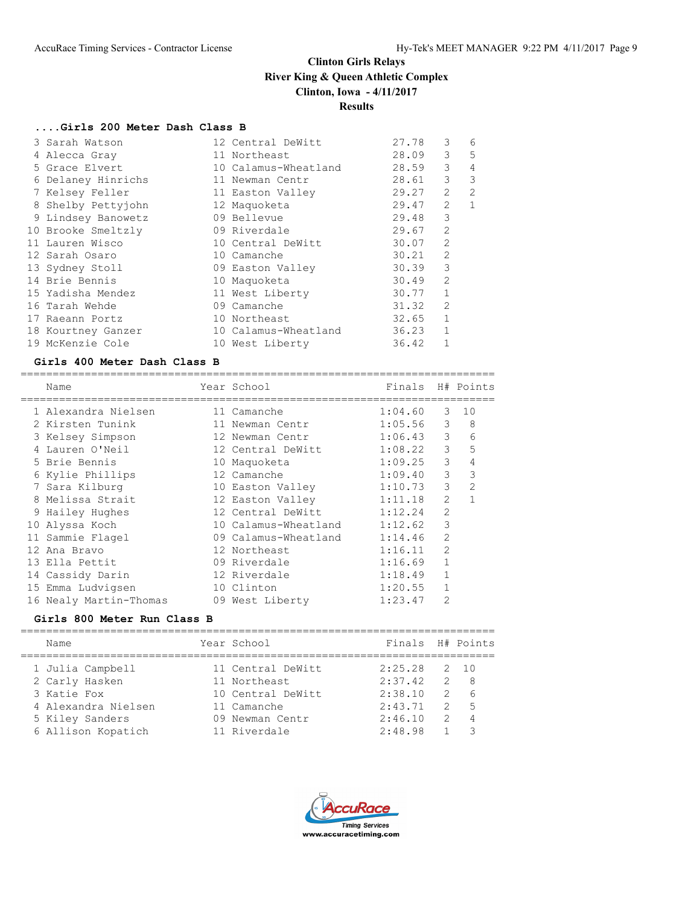# **....Girls 200 Meter Dash Class B**

| 3 Sarah Watson     | 12 Central DeWitt    | 27.78 | 3              | 6              |
|--------------------|----------------------|-------|----------------|----------------|
| 4 Alecca Gray      | 11 Northeast         | 28.09 | 3              | 5              |
| 5 Grace Elvert     | 10 Calamus-Wheatland | 28.59 | 3              | 4              |
| 6 Delaney Hinrichs | 11 Newman Centr      | 28.61 | 3              | 3              |
| 7 Kelsey Feller    | 11 Easton Valley     | 29.27 | $\overline{2}$ | $\mathfrak{D}$ |
| 8 Shelby Pettyjohn | 12 Maquoketa         | 29.47 | $\overline{2}$ | $\mathbf{1}$   |
| 9 Lindsey Banowetz | 09 Bellevue          | 29.48 | 3              |                |
| 10 Brooke Smeltzly | 09 Riverdale         | 29.67 | 2              |                |
| 11 Lauren Wisco    | 10 Central DeWitt    | 30.07 | $\overline{2}$ |                |
| 12 Sarah Osaro     | 10 Camanche          | 30.21 | 2              |                |
| 13 Sydney Stoll    | 09 Easton Valley     | 30.39 | 3              |                |
| 14 Brie Bennis     | 10 Maquoketa         | 30.49 | $\overline{2}$ |                |
| 15 Yadisha Mendez  | 11 West Liberty      | 30.77 | $\mathbf{1}$   |                |
| 16 Tarah Wehde     | 09 Camanche          | 31.32 | $\overline{2}$ |                |
| 17 Raeann Portz    | 10 Northeast         | 32.65 | $\mathbf{1}$   |                |
| 18 Kourtney Ganzer | 10 Calamus-Wheatland | 36.23 | $\mathbf{1}$   |                |
| 19 McKenzie Cole   | 10 West Liberty      | 36.42 |                |                |

#### **Girls 400 Meter Dash Class B**

|   | Name                   | Year School          | Finals  |                | H# Points      |
|---|------------------------|----------------------|---------|----------------|----------------|
|   |                        |                      |         |                |                |
|   | 1 Alexandra Nielsen    | 11 Camanche          | 1:04.60 | 3              | 10             |
|   | 2 Kirsten Tunink       | 11 Newman Centr      | 1:05.56 | 3              | 8              |
|   | 3 Kelsey Simpson       | 12 Newman Centr      | 1:06.43 | 3              | 6              |
|   | Lauren O'Neil          | 12 Central DeWitt    | 1:08.22 | 3              | 5              |
|   | 5 Brie Bennis          | 10 Maquoketa         | 1:09.25 | 3              | 4              |
|   | 6 Kylie Phillips       | 12 Camanche          | 1:09.40 | 3              | 3              |
|   | 7 Sara Kilburg         | 10 Easton Valley     | 1:10.73 | 3              | $\overline{2}$ |
| 8 | Melissa Strait         | 12 Easton Valley     | 1:11.18 | $\overline{2}$ |                |
|   | 9 Hailey Hughes        | 12 Central DeWitt    | 1:12.24 | $\overline{2}$ |                |
|   | 10 Alyssa Koch         | 10 Calamus-Wheatland | 1:12.62 | 3              |                |
|   | 11 Sammie Flagel       | 09 Calamus-Wheatland | 1:14.46 | $\overline{2}$ |                |
|   | 12 Ana Bravo           | 12 Northeast         | 1:16.11 | $\overline{2}$ |                |
|   | 13 Ella Pettit         | 09 Riverdale         | 1:16.69 | 1              |                |
|   | 14 Cassidy Darin       | 12 Riverdale         | 1:18.49 | 1              |                |
|   | 15 Emma Ludvigsen      | 10 Clinton           | 1:20.55 |                |                |
|   | 16 Nealy Martin-Thomas | 09 West Liberty      | 1:23.47 | $\overline{2}$ |                |

## **Girls 800 Meter Run Class B**

| Name                | Year School       | Finals H# Points |               |      |
|---------------------|-------------------|------------------|---------------|------|
| 1 Julia Campbell    | 11 Central DeWitt | 2:25.28          |               | 2 10 |
| 2 Carly Hasken      | 11 Northeast      | 2:37.42          | $\mathcal{L}$ | - 8  |
| 3 Katie Fox         | 10 Central DeWitt | 2:38.10          | $\mathcal{D}$ | 6    |
| 4 Alexandra Nielsen | 11 Camanche       | 2:43.71          | $\mathcal{P}$ | $-5$ |
| 5 Kiley Sanders     | 09 Newman Centr   | 2:46.10          | $\mathcal{P}$ |      |
| 6 Allison Kopatich  | 11 Riverdale      | 2:48.98          |               |      |
|                     |                   |                  |               |      |

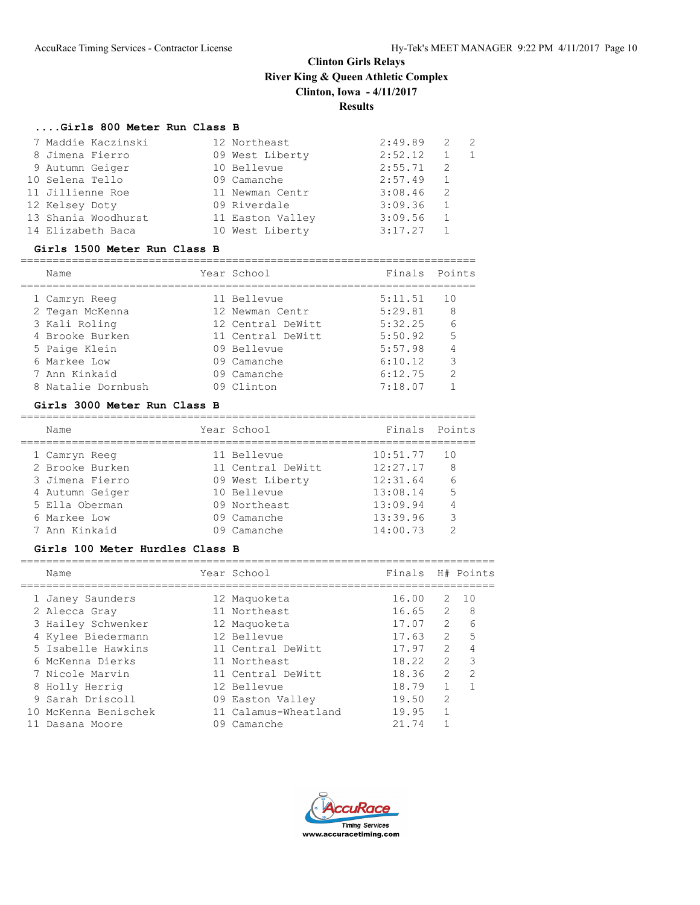# **....Girls 800 Meter Run Class B**

| 7 Maddie Kaczinski  | 12 Northeast     | 2:49.89 | 2            | $\overline{2}$ |
|---------------------|------------------|---------|--------------|----------------|
| 8 Jimena Fierro     | 09 West Liberty  | 2:52.12 |              |                |
| 9 Autumn Geiger     | 10 Bellevue      | 2:55.71 | -2           |                |
| 10 Selena Tello     | 09 Camanche      | 2:57.49 | <sup>1</sup> |                |
| 11 Jillienne Roe    | 11 Newman Centr  | 3:08.46 | -2           |                |
| 12 Kelsey Doty      | 09 Riverdale     | 3:09.36 | -1           |                |
| 13 Shania Woodhurst | 11 Easton Valley | 3:09.56 | 1            |                |
| 14 Elizabeth Baca   | 10 West Liberty  | 3:17.27 |              |                |

#### **Girls 1500 Meter Run Class B**

=======================================================================

| Name               | Year School       | Finals  | Points        |
|--------------------|-------------------|---------|---------------|
| 1 Camryn Reeg      | 11 Bellevue       | 5:11.51 | 10            |
| 2 Tegan McKenna    | 12 Newman Centr   | 5:29.81 | 8             |
| 3 Kali Roling      | 12 Central DeWitt | 5:32.25 | 6             |
| 4 Brooke Burken    | 11 Central DeWitt | 5:50.92 | 5             |
| 5 Paige Klein      | 09 Bellevue       | 5:57.98 | 4             |
| 6 Markee Low       | 09 Camanche       | 6:10.12 | 3             |
| 7 Ann Kinkaid      | 09 Camanche       | 6:12.75 | $\mathcal{D}$ |
| 8 Natalie Dornbush | 09 Clinton        | 7:18.07 |               |

### **Girls 3000 Meter Run Class B**

| Name            | Year School       | Finals Points |                |
|-----------------|-------------------|---------------|----------------|
| 1 Camryn Reeg   | 11 Bellevue       | 10:51.77      | 10             |
| 2 Brooke Burken | 11 Central DeWitt | 12:27.17      | 8              |
| 3 Jimena Fierro | 09 West Liberty   | 12:31.64      | 6              |
| 4 Autumn Geiger | 10 Bellevue       | 13:08.14      | 5              |
| 5 Ella Oberman  | 09 Northeast      | 13:09.94      | $\overline{4}$ |
| 6 Markee Low    | 09 Camanche       | 13:39.96      | 3              |
| 7 Ann Kinkaid   | 09 Camanche       | 14:00.73      |                |
|                 |                   |               |                |

# **Girls 100 Meter Hurdles Class B**

| Name                 |    | Year School          | Finals H# Points |               |               |
|----------------------|----|----------------------|------------------|---------------|---------------|
| 1 Janey Saunders     |    | 12 Maquoketa         | 16.00            | 2             | 10            |
| 2 Alecca Gray        |    | 11 Northeast         | 16.65            | $\mathcal{L}$ | - 8           |
| 3 Hailey Schwenker   |    | 12 Maguoketa         | 17.07            | $2^{\circ}$   | 6             |
| 4 Kylee Biedermann   |    | 12 Bellevue          | 17.63            | $\mathcal{L}$ | .5            |
| 5 Isabelle Hawkins   |    | 11 Central DeWitt    | 17.97            | $\mathcal{L}$ |               |
| 6 McKenna Dierks     |    | 11 Northeast         | 18.22            | $\mathcal{L}$ | 3             |
| 7 Nicole Marvin      |    | 11 Central DeWitt    | 18.36            | $\mathcal{L}$ | $\mathcal{P}$ |
| 8 Holly Herrig       |    | 12 Bellevue          | 18.79            |               |               |
| 9 Sarah Driscoll     |    | 09 Easton Valley     | 19.50            | $\mathcal{D}$ |               |
| 10 McKenna Benischek |    | 11 Calamus-Wheatland | 19.95            |               |               |
| Dasana Moore         | 09 | Camanche             | 21.74            |               |               |

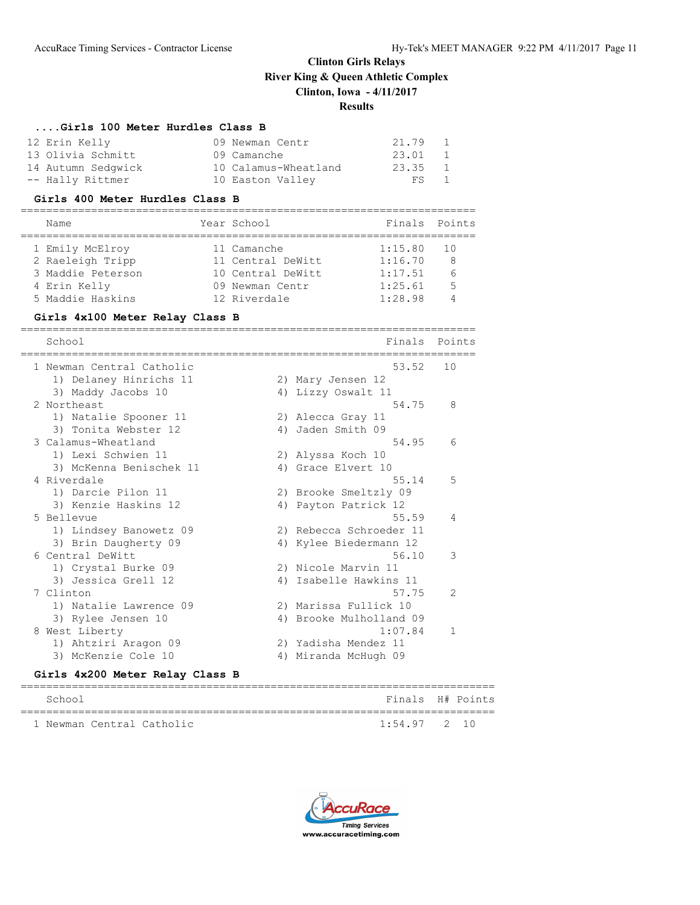#### **....Girls 100 Meter Hurdles Class B**

| 12 Erin Kelly      | 09 Newman Centr      | 21.79 1  |  |
|--------------------|----------------------|----------|--|
| 13 Olivia Schmitt  | 09 Camanche          | 23.01 1  |  |
| 14 Autumn Sedgwick | 10 Calamus-Wheatland | 23.35 1  |  |
| -- Hally Rittmer   | 10 Easton Valley     | $FS = 1$ |  |

#### **Girls 400 Meter Hurdles Class B**

| Name              | Year School       | Finals Points |      |
|-------------------|-------------------|---------------|------|
| 1 Emily McElroy   | 11 Camanche       | 1:15.80       | - 10 |
| 2 Raeleigh Tripp  | 11 Central DeWitt | 1:16.70       | 8    |
| 3 Maddie Peterson | 10 Central DeWitt | 1:17.51       |      |
| 4 Erin Kelly      | 09 Newman Centr   | 1:25.61       | 5    |
| 5 Maddie Haskins  | 12 Riverdale      | 1:28.98       |      |
|                   |                   |               |      |

#### **Girls 4x100 Meter Relay Class B**

======================================================================= School **Finals Points** ======================================================================= 1 Newman Central Catholic 1) Delaney Hinrichs 11 2) Mary Jensen 12 3) Maddy Jacobs 10 4) Lizzy Oswalt 11 2 Northeast 54.75 8 1) Natalie Spooner 11 2) Alecca Gray 11 3) Tonita Webster 12 4) Jaden Smith 09 3 Calamus-Wheatland 54.95 6 1) Lexi Schwien 11 2) Alyssa Koch 10 3) McKenna Benischek 11 <a>
4) Grace Elvert 10 4 Riverdale 55.14 5 1) Darcie Pilon 11 2) Brooke Smeltzly 09 3) Kenzie Haskins 12 1988 (4) Payton Patrick 12 5 Bellevue 55.59 4 1) Lindsey Banowetz 09 2) Rebecca Schroeder 11 3) Brin Daugherty 09 4) Kylee Biedermann 12 6 Central DeWitt 3 and 2008 10 3 3 3 3 4 56.10 3 3 4 56.10 3 3 4 56.10 3 3 4 56.10 3 3 4 56.10 3 3 4 56.10 3 3 4 56.10 3 3 4 56.10 3 3 4 56.10 3 3 4 56.10 3 4 56.10 3 4 56.10 3 4 56.10 3 4 56.10 3 4 56.10 3 4 56.10 3 4 56. 1) Crystal Burke 09 2) Nicole Marvin 11 3) Jessica Grell 12 4) Isabelle Hawkins 11 7 Clinton 57.75 2 1) Natalie Lawrence 09 2) Marissa Fullick 10 3) Rylee Jensen 10 4) Brooke Mulholland 09 8 West Liberty 1:07.84 1 1) Ahtziri Aragon 09 2) Yadisha Mendez 11 3) McKenzie Cole 10 (4) Miranda McHugh 09

#### **Girls 4x200 Meter Relay Class B**

| School |                           | Finals H# Points |  |
|--------|---------------------------|------------------|--|
|        | 1 Newman Central Catholic | $1:54.97$ 2 10   |  |

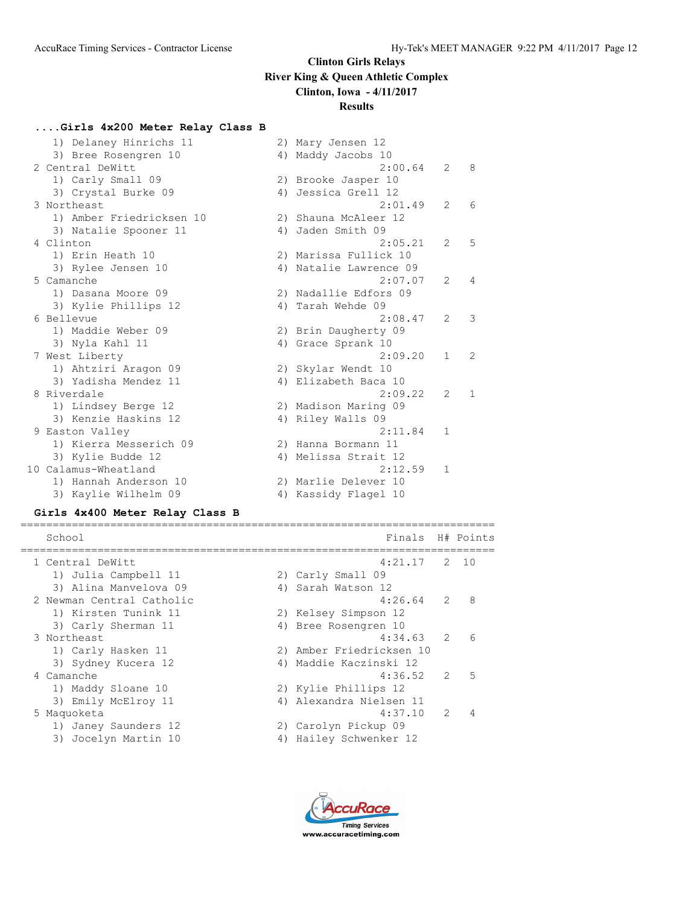# **Results**

# **....Girls 4x200 Meter Relay Class B**

| 1) Delaney Hinrichs 11   | 2) Mary Jensen 12      |                |              |
|--------------------------|------------------------|----------------|--------------|
| 3) Bree Rosengren 10     | 4) Maddy Jacobs 10     |                |              |
| 2 Central DeWitt         | 2:00.64                | 2              | 8            |
| 1) Carly Small 09        | 2) Brooke Jasper 10    |                |              |
| 3) Crystal Burke 09      | 4) Jessica Grell 12    |                |              |
| 3 Northeast              | 2:01.49                | $\mathfrak{L}$ | 6            |
| 1) Amber Friedricksen 10 | 2) Shauna McAleer 12   |                |              |
| 3) Natalie Spooner 11    | 4) Jaden Smith 09      |                |              |
| 4 Clinton                | 2:05.21                | $\mathcal{L}$  | 5            |
| 1) Erin Heath 10         | 2) Marissa Fullick 10  |                |              |
| 3) Rylee Jensen 10       | 4) Natalie Lawrence 09 |                |              |
| 5 Camanche               | 2:07.07                | $\mathfrak{L}$ | 4            |
| 1) Dasana Moore 09       | 2) Nadallie Edfors 09  |                |              |
| 3) Kylie Phillips 12     | 4) Tarah Wehde 09      |                |              |
| 6 Bellevue               | 2:08.47                | $\mathfrak{L}$ | 3            |
| 1) Maddie Weber 09       | 2) Brin Daugherty 09   |                |              |
| 3) Nyla Kahl 11          | 4) Grace Sprank 10     |                |              |
| 7 West Liberty           | 2:09.20                | $\mathbf{1}$   | 2            |
| 1) Ahtziri Aragon 09     | 2) Skylar Wendt 10     |                |              |
| 3) Yadisha Mendez 11     | 4) Elizabeth Baca 10   |                |              |
| 8 Riverdale              | 2:09.22                | $\mathfrak{L}$ | $\mathbf{1}$ |
| 1) Lindsey Berge 12      | 2) Madison Maring 09   |                |              |
| 3) Kenzie Haskins 12     | 4) Riley Walls 09      |                |              |
| 9 Easton Valley          | 2:11.84                | $\mathbf{1}$   |              |
| 1) Kierra Messerich 09   | 2) Hanna Bormann 11    |                |              |
| 3) Kylie Budde 12        | 4) Melissa Strait 12   |                |              |
| 10 Calamus-Wheatland     | 2:12.59                | $\mathbf{1}$   |              |
| 1) Hannah Anderson 10    | 2) Marlie Delever 10   |                |              |
| 3) Kaylie Wilhelm 09     | 4) Kassidy Flagel 10   |                |              |

# **Girls 4x400 Meter Relay Class B**

| School                    |    | Finals H# Points         |               |            |
|---------------------------|----|--------------------------|---------------|------------|
| 1 Central DeWitt          |    | $4:21.17$ 2 10           |               |            |
| 1) Julia Campbell 11      |    | 2) Carly Small 09        |               |            |
| 3) Alina Manvelova 09     |    | 4) Sarah Watson 12       |               |            |
| 2 Newman Central Catholic |    | $4:26.64$ 2              |               | 8          |
| 1) Kirsten Tunink 11      |    | 2) Kelsey Simpson 12     |               |            |
| 3) Carly Sherman 11       |    | 4) Bree Rosengren 10     |               |            |
| 3 Northeast               |    | 4:34.63                  | $\mathcal{P}$ | $\sqrt{2}$ |
| 1) Carly Hasken 11        |    | 2) Amber Friedricksen 10 |               |            |
| 3) Sydney Kucera 12       |    | 4) Maddie Kaczinski 12   |               |            |
| 4 Camanche                |    | 4:36.52                  | $\mathcal{L}$ | 5          |
| 1) Maddy Sloane 10        |    | 2) Kylie Phillips 12     |               |            |
| 3) Emily McElroy 11       |    | 4) Alexandra Nielsen 11  |               |            |
| 5 Maquoketa               |    | 4:37.10                  | $\mathcal{P}$ | 4          |
| 1) Janey Saunders 12      |    | 2) Carolyn Pickup 09     |               |            |
| 3) Jocelyn Martin 10      | 4) | Hailey Schwenker 12      |               |            |
|                           |    |                          |               |            |

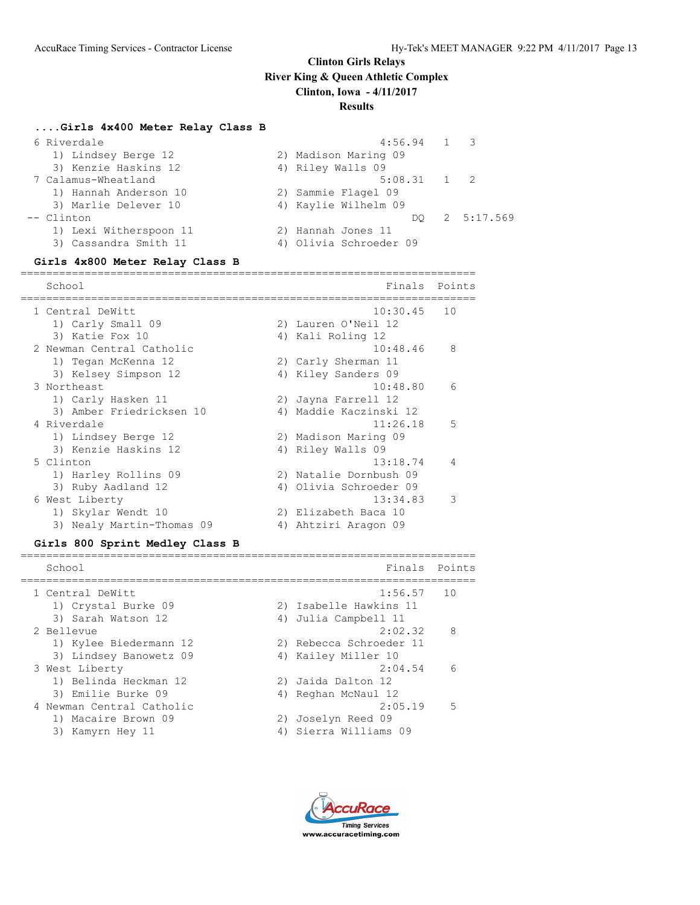# **Results**

#### **....Girls 4x400 Meter Relay Class B**

| 6 Riverdale            | $4:56.94$ 1 3          |            |
|------------------------|------------------------|------------|
| 1) Lindsey Berge 12    | 2) Madison Maring 09   |            |
| 3) Kenzie Haskins 12   | 4) Riley Walls 09      |            |
| 7 Calamus-Wheatland    | $5:08.31$ 1 2          |            |
| 1) Hannah Anderson 10  | 2) Sammie Flagel 09    |            |
| 3) Marlie Delever 10   | 4) Kaylie Wilhelm 09   |            |
| -- Clinton             | DO.                    | 2 5:17.569 |
| 1) Lexi Witherspoon 11 | 2) Hannah Jones 11     |            |
| 3) Cassandra Smith 11  | 4) Olivia Schroeder 09 |            |

**Girls 4x800 Meter Relay Class B** ======================================================================= School Finals Points and the School Finals Points of the School Finals Points and the School Finals Points and  $F$ ======================================================================= 1 Central DeWitt 10:30.45 10 1) Carly Small 09 2) Lauren O'Neil 12 3) Katie Fox 10 4) Kali Roling 12 2 Newman Central Catholic 10:48.46 8 1) Tegan McKenna 12 2) Carly Sherman 11 3) Kelsey Simpson 12 4) Kiley Sanders 09 3 Northeast 10:48.80 6 1) Carly Hasken 11 2) Jayna Farrell 12 3) Amber Friedricksen 10 4) Maddie Kaczinski 12 4 Riverdale 11:26.18 5 1) Lindsey Berge 12 2) Madison Maring 09 3) Kenzie Haskins 12 (4) Riley Walls 09 5 Clinton 13:18.74 4 1) Harley Rollins 09 2) Natalie Dornbush 09 3) Ruby Aadland 12 4) Olivia Schroeder 09

# 6 West Liberty 13:34.83 3 1) Skylar Wendt 10 2) Elizabeth Baca 10 3) Nealy Martin-Thomas 09 <br />
4) Ahtziri Aragon 09

#### **Girls 800 Sprint Medley Class B**

| School                    | Finals Points           |     |
|---------------------------|-------------------------|-----|
| 1 Central DeWitt          | 1:56.57                 | 10  |
| 1) Crystal Burke 09       | 2) Isabelle Hawkins 11  |     |
| 3) Sarah Watson 12        | 4) Julia Campbell 11    |     |
| 2 Bellevue                | 2:02.32                 | - 8 |
| 1) Kylee Biedermann 12    | 2) Rebecca Schroeder 11 |     |
| 3) Lindsey Banowetz 09    | 4) Kailey Miller 10     |     |
| 3 West Liberty            | 2:04.54                 | - 6 |
| 1) Belinda Heckman 12     | 2) Jaida Dalton 12      |     |
| 3) Emilie Burke 09        | 4) Reghan McNaul 12     |     |
| 4 Newman Central Catholic | 2:05.19                 | - 5 |
| 1) Macaire Brown 09       | 2) Joselyn Reed 09      |     |
| 3) Kamyrn Hey 11          | 4) Sierra Williams 09   |     |
|                           |                         |     |

**Timina Services** www.accuracetiming.com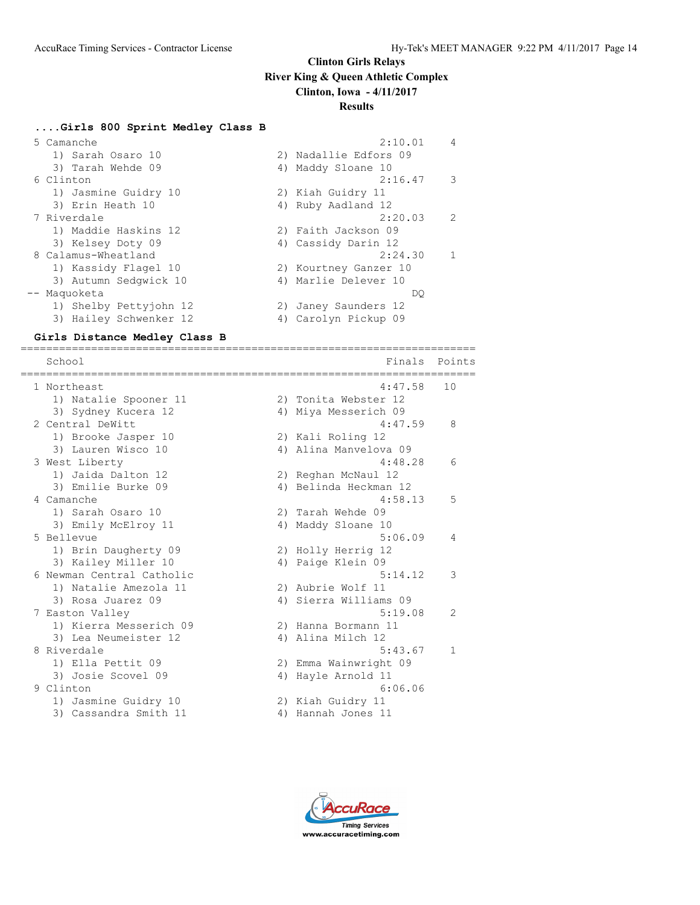#### **....Girls 800 Sprint Medley Class B**

| 5 Camanche             | 2:10.01               | 4             |
|------------------------|-----------------------|---------------|
| 1) Sarah Osaro 10      | 2) Nadallie Edfors 09 |               |
| 3) Tarah Wehde 09      | 4) Maddy Sloane 10    |               |
| 6 Clinton              | 2:16.47               | 3             |
| 1) Jasmine Guidry 10   | 2) Kiah Guidry 11     |               |
| 3) Erin Heath 10       | 4) Ruby Aadland 12    |               |
| 7 Riverdale            | 2:20.03               | $\mathcal{L}$ |
| 1) Maddie Haskins 12   | 2) Faith Jackson 09   |               |
| 3) Kelsey Doty 09      | 4) Cassidy Darin 12   |               |
| 8 Calamus-Wheatland    | 2:24.30               | 1             |
| 1) Kassidy Flagel 10   | 2) Kourtney Ganzer 10 |               |
| 3) Autumn Sedgwick 10  | 4) Marlie Delever 10  |               |
| -- Maquoketa           | DO                    |               |
| 1) Shelby Pettyjohn 12 | 2) Janey Saunders 12  |               |
| 3) Hailey Schwenker 12 | 4) Carolyn Pickup 09  |               |
|                        |                       |               |

**Girls Distance Medley Class B** ======================================================================= School Finals Points Points and the School Finals Points Points of Points and Points Points and Points and Points and Points and Points and Points and Points and Points and Points and Points and Points and Points and Point ======================================================================= 1 Northeast 4:47.58 10 1) Natalie Spooner 11 120 2) Tonita Webster 12 3) Sydney Kucera 12 4) Miya Messerich 09 2 Central DeWitt 4:47.59 8 1) Brooke Jasper 10 2) Kali Roling 12 3) Lauren Wisco 10 4) Alina Manvelova 09 3 West Liberty 4:48.28 6 1) Jaida Dalton 12 2) Reghan McNaul 12 3) Emilie Burke 09 4) Belinda Heckman 12 4 Camanche 4:58.13 5 1) Sarah Osaro 10 2) Tarah Wehde 09 3) Emily McElroy 11 4) Maddy Sloane 10 5 Bellevue 5:06.09 4 1) Brin Daugherty 09 2) Holly Herrig 12 3) Kailey Miller 10  $\hskip1cm$  4) Paige Klein 09 6 Newman Central Catholic 5:14.12 3 1) Natalie Amezola 11 120 2) Aubrie Wolf 11 3) Rosa Juarez 09 4) Sierra Williams 09 7 Easton Valley 2012 12:20 12:20 12:20 12:20 12:20 12:20 12:20 12:20 12:20 12:20 12:20 12:20 12:20 12:20 12:20 1) Kierra Messerich 09 2) Hanna Bormann 11 3) Lea Neumeister 12 (4) Alina Milch 12 8 Riverdale 2012 12:30 12:30 12:30 12:30 12:30 12:30 12:30 12:30 12:30 12:30 12:30 12:30 12:30 12:30 12:30 12:30 12:30 12:30 12:30 12:30 12:30 12:30 12:30 12:30 12:30 12:30 12:30 12:30 12:30 12:30 12:30 12:30 12:30 12:30 1

- 1) Ella Pettit 09 2) Emma Wainwright 09 3) Josie Scovel 09 12 12 4) Hayle Arnold 11 9 Clinton 6:06.06 1) Jasmine Guidry 10 2) Kiah Guidry 11 3) Cassandra Smith 11 (4) Hannah Jones 11
	- **Timina Services** www.accuracetiming.com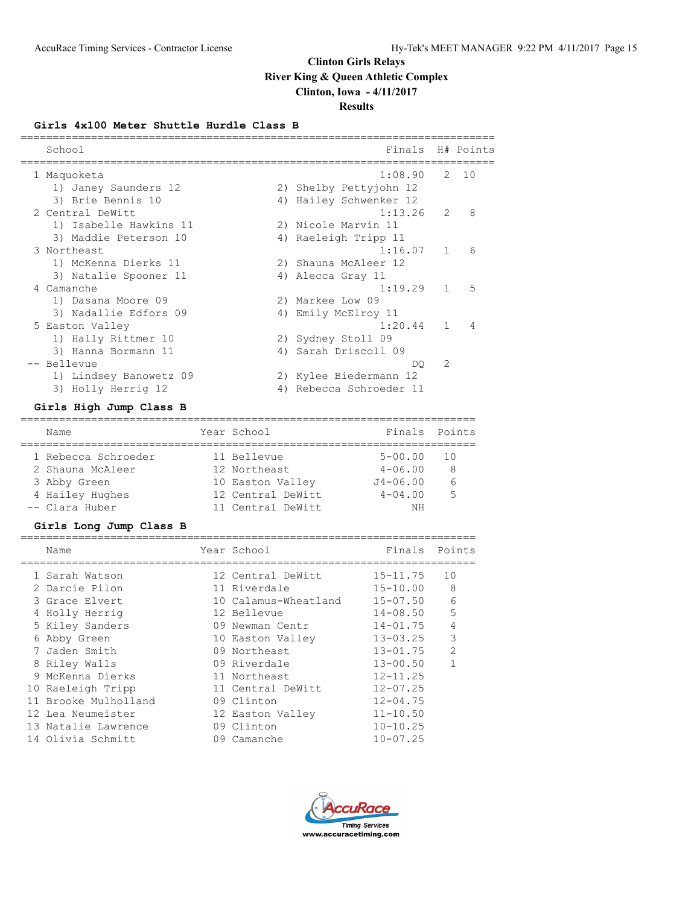# **Results**

## **Girls 4x100 Meter Shuttle Hurdle Class B**

| School                 | Finals H# Points        |              |          |
|------------------------|-------------------------|--------------|----------|
| 1 Maquoketa            | 1:08.90                 |              | $2 \t10$ |
| 1) Janey Saunders 12   | 2) Shelby Pettyjohn 12  |              |          |
| 3) Brie Bennis 10      | 4) Hailey Schwenker 12  |              |          |
| 2 Central DeWitt       | 1:13.26                 | 2            | 8        |
| 1) Isabelle Hawkins 11 | 2) Nicole Marvin 11     |              |          |
| 3) Maddie Peterson 10  | 4) Raeleigh Tripp 11    |              |          |
| 3 Northeast            | 1:16.07                 | 1            | 6        |
| 1) McKenna Dierks 11   | 2) Shauna McAleer 12    |              |          |
| 3) Natalie Spooner 11  | 4) Alecca Gray 11       |              |          |
| 4 Camanche             | 1:19.29                 | $\mathbf{1}$ | 5        |
| 1) Dasana Moore 09     | 2) Markee Low 09        |              |          |
| 3) Nadallie Edfors 09  | 4) Emily McElroy 11     |              |          |
| 5 Easton Valley        | 1:20.44                 | $\mathbf{1}$ | 4        |
| 1) Hally Rittmer 10    | 2) Sydney Stoll 09      |              |          |
| 3) Hanna Bormann 11    | 4) Sarah Driscoll 09    |              |          |
| -- Bellevue            | DO.                     | 2            |          |
| 1) Lindsey Banowetz 09 | 2) Kylee Biedermann 12  |              |          |
| 3) Holly Herrig 12     | 4) Rebecca Schroeder 11 |              |          |

## **Girls High Jump Class B**

| Name                | Year School       | Finals Points |                 |
|---------------------|-------------------|---------------|-----------------|
| 1 Rebecca Schroeder | 11 Bellevue       | $5 - 00.00$   | 10              |
| 2 Shauna McAleer    | 12 Northeast      | $4 - 06.00$   | 8               |
| 3 Abby Green        | 10 Easton Valley  | $J4 - 06.00$  | $6\overline{6}$ |
| 4 Hailey Hughes     | 12 Central DeWitt | $4 - 04.00$   | 5               |
| -- Clara Huber      | 11 Central DeWitt | ΝH            |                 |

## **Girls Long Jump Class B**

| Name                 | Year School          | Finals       | Points         |
|----------------------|----------------------|--------------|----------------|
| 1 Sarah Watson       | 12 Central DeWitt    | $15 - 11.75$ | 10             |
| 2 Darcie Pilon       | 11 Riverdale         | $15 - 10.00$ | 8              |
| 3 Grace Elvert       | 10 Calamus-Wheatland | 15-07.50     | 6              |
| 4 Holly Herrig       | 12 Bellevue          | $14 - 08.50$ | 5              |
| 5 Kiley Sanders      | 09 Newman Centr      | $14 - 01.75$ | $\overline{4}$ |
| 6 Abby Green         | 10 Easton Valley     | $13 - 03.25$ | 3              |
| 7 Jaden Smith        | 09 Northeast         | $13 - 01.75$ | $\mathfrak{D}$ |
| 8 Riley Walls        | 09 Riverdale         | $13 - 00.50$ |                |
| 9 McKenna Dierks     | 11 Northeast         | $12 - 11.25$ |                |
| 10 Raeleigh Tripp    | 11 Central DeWitt    | $12 - 07.25$ |                |
| 11 Brooke Mulholland | 09 Clinton           | $12 - 04.75$ |                |
| 12 Lea Neumeister    | 12 Easton Valley     | $11 - 10.50$ |                |
| 13 Natalie Lawrence  | 09 Clinton           | $10 - 10.25$ |                |
| 14 Olivia Schmitt    | 09 Camanche          | $10 - 07.25$ |                |

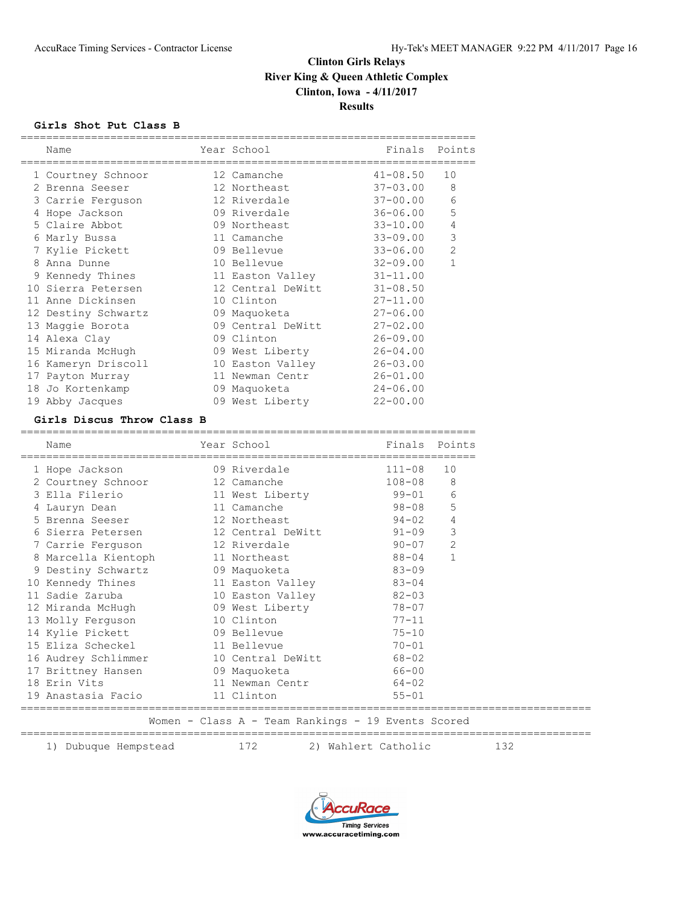## **Girls Shot Put Class B**

| Name                | Year School       | Finals       | Points       |
|---------------------|-------------------|--------------|--------------|
| 1 Courtney Schnoor  | 12 Camanche       | $41 - 08.50$ | 10           |
| 2 Brenna Seeser     | 12 Northeast      | $37 - 03.00$ | 8            |
| 3 Carrie Ferguson   | 12 Riverdale      | $37 - 00.00$ | $\epsilon$   |
| 4 Hope Jackson      | 09 Riverdale      | 36-06.00     | 5            |
| 5 Claire Abbot      | 09 Northeast      | $33 - 10.00$ | 4            |
| 6 Marly Bussa       | 11 Camanche       | 33-09.00     | 3            |
| 7 Kylie Pickett     | 09 Bellevue       | $33 - 06.00$ | $\mathbf{2}$ |
| 8 Anna Dunne        | 10 Bellevue       | $32 - 09.00$ | $\mathbf{1}$ |
| 9 Kennedy Thines    | 11 Easton Valley  | $31 - 11.00$ |              |
| 10 Sierra Petersen  | 12 Central DeWitt | $31 - 08.50$ |              |
| 11 Anne Dickinsen   | 10 Clinton        | $27 - 11.00$ |              |
| 12 Destiny Schwartz | 09 Maquoketa      | $27 - 06.00$ |              |
| 13 Maggie Borota    | 09 Central DeWitt | $27 - 02.00$ |              |
| 14 Alexa Clay       | 09 Clinton        | $26 - 09.00$ |              |
| 15 Miranda McHugh   | 09 West Liberty   | $26 - 04.00$ |              |
| 16 Kameryn Driscoll | 10 Easton Valley  | $26 - 03.00$ |              |
| 17 Payton Murray    | 11 Newman Centr   | $26 - 01.00$ |              |
| 18 Jo Kortenkamp    | 09 Maquoketa      | $24 - 06.00$ |              |
| 19 Abby Jacques     | 09 West Liberty   | $22 - 00.00$ |              |

#### **Girls Discus Throw Class B**

| Name                                                                           |            | Year School                                                                                                                                                                                                                     | Finals                                             | Points         |
|--------------------------------------------------------------------------------|------------|---------------------------------------------------------------------------------------------------------------------------------------------------------------------------------------------------------------------------------|----------------------------------------------------|----------------|
| 1 Hope Jackson                                                                 |            | 09 Riverdale                                                                                                                                                                                                                    | 111-08                                             | 10             |
| 2 Courtney Schnoor 12 Camanche                                                 |            |                                                                                                                                                                                                                                 | 108-08                                             | 8              |
| 3 Ella Filerio                                                                 |            |                                                                                                                                                                                                                                 | 11 West Liberty 59-01                              | 6              |
| 4 Lauryn Dean                                                                  |            | 11 Camanche                                                                                                                                                                                                                     | $98 - 08$                                          | 5              |
| 5 Brenna Seeser 12 Northeast                                                   |            |                                                                                                                                                                                                                                 | $94 - 02$                                          | $\overline{4}$ |
| 6 Sierra Petersen 12 Central DeWitt 91-09                                      |            |                                                                                                                                                                                                                                 |                                                    | $\mathcal{E}$  |
| 7 Carrie Ferguson 12 Riverdale                                                 |            |                                                                                                                                                                                                                                 | $90 - 07$                                          | 2              |
| 8 Marcella Kientoph 11 Northeast                                               |            |                                                                                                                                                                                                                                 | $88 - 04$                                          | $\mathbf{1}$   |
| 9 Destiny Schwartz 09 Maquoketa                                                |            |                                                                                                                                                                                                                                 | $83 - 09$                                          |                |
| 10 Kennedy Thines 11 Easton Valley 83-04                                       |            |                                                                                                                                                                                                                                 |                                                    |                |
| 11 Sadie Zaruba                       10 Easton Valley                   82-03 |            |                                                                                                                                                                                                                                 |                                                    |                |
| 12 Miranda McHugh 09 West Liberty 78-07                                        |            |                                                                                                                                                                                                                                 |                                                    |                |
| 13 Molly Ferguson                                                              | 10 Clinton |                                                                                                                                                                                                                                 | $77 - 11$                                          |                |
| 14 Kylie Pickett 09 Bellevue                                                   |            |                                                                                                                                                                                                                                 | $75 - 10$                                          |                |
| 15 Eliza Scheckel 11 Bellevue                                                  |            |                                                                                                                                                                                                                                 | $70 - 01$                                          |                |
| 16 Audrey Schlimmer 10 Central DeWitt 68-02                                    |            |                                                                                                                                                                                                                                 |                                                    |                |
| 17 Brittney Hansen 69 Maquoketa                                                |            |                                                                                                                                                                                                                                 | $66 - 00$                                          |                |
| 18 Erin Vits                                                                   |            |                                                                                                                                                                                                                                 | 11 Newman Centr 64-02                              |                |
| 19 Anastasia Facio 11 Clinton                                                  |            |                                                                                                                                                                                                                                 | $55 - 01$                                          |                |
|                                                                                |            |                                                                                                                                                                                                                                 | Women - Class A - Team Rankings - 19 Events Scored |                |
| 1) Dubuque Hempstead                                                           |            | 172 — 172 — 172 — 172 — 172 — 172 — 172 — 172 — 172 — 172 — 172 — 172 — 172 — 172 — 172 — 172 — 172 — 172 — 172 — 172 — 172 — 172 — 172 — 172 — 172 — 172 — 172 — 172 — 172 — 172 — 172 — 172 — 172 — 172 — 172 — 172 — 172 — 1 | 2) Wahlert Catholic                                |                |